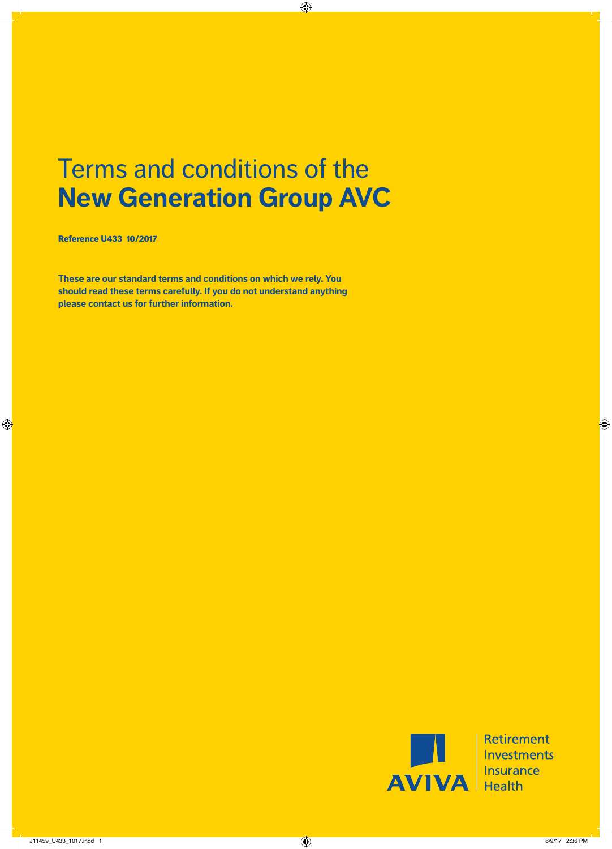# Terms and conditions of the **New Generation Group AVC**

Reference U433 10/2017

**These are our standard terms and conditions on which we rely. You should read these terms carefully. If you do not understand anything please contact us for further information.**



**Retirement** Investments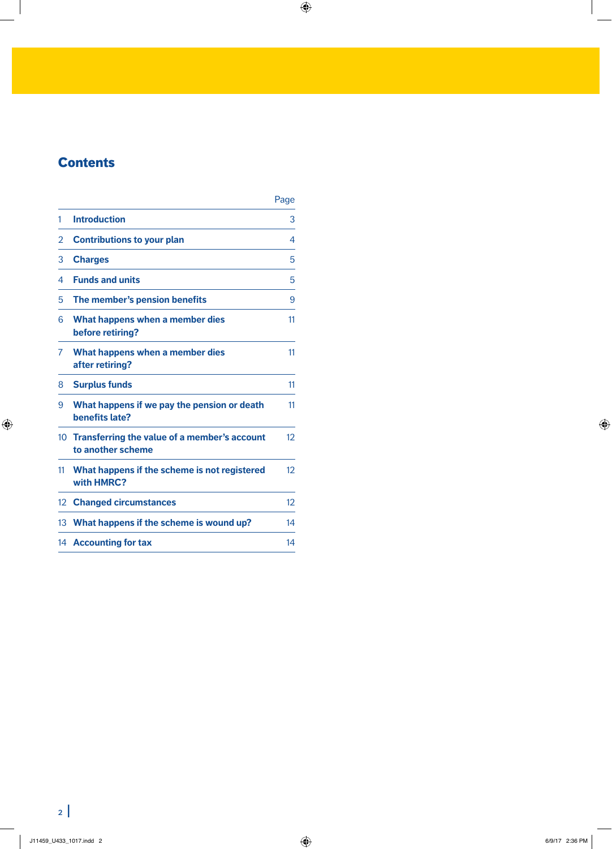# **Contents**

|                 |                                                                   | Page |
|-----------------|-------------------------------------------------------------------|------|
| 1               | <b>Introduction</b>                                               | 3    |
| 2               | <b>Contributions to your plan</b>                                 | 4    |
| 3               | <b>Charges</b>                                                    | 5    |
| 4               | <b>Funds and units</b>                                            | 5    |
| 5               | The member's pension benefits                                     | 9    |
| 6               | What happens when a member dies<br>before retiring?               | 11   |
| 7               | What happens when a member dies<br>after retiring?                | 11   |
| 8               | <b>Surplus funds</b>                                              | 11   |
| 9               | What happens if we pay the pension or death<br>benefits late?     | 11   |
| 10 <sup>°</sup> | Transferring the value of a member's account<br>to another scheme | 12   |
| 11              | What happens if the scheme is not registered<br>with HMRC?        | 12   |
| 12              | <b>Changed circumstances</b>                                      | 12   |
| 13              | What happens if the scheme is wound up?                           | 14   |
|                 | 14 Accounting for tax                                             | 14   |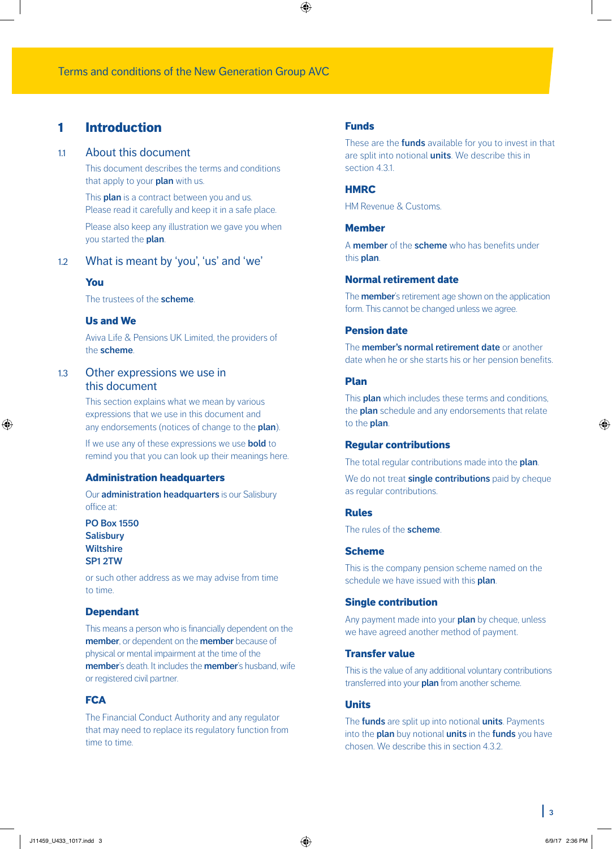# 1 Introduction

#### 1.1 About this document

This document describes the terms and conditions that apply to your **plan** with us.

This **plan** is a contract between you and us. Please read it carefully and keep it in a safe place.

Please also keep any illustration we gave you when you started the **plan**.

# 1.2 What is meant by 'you', 'us' and 'we'

#### You

The trustees of the **scheme**.

# Us and We

Aviva Life & Pensions UK Limited, the providers of the **scheme**.

# 1.3 Other expressions we use in this document

This section explains what we mean by various expressions that we use in this document and any endorsements (notices of change to the **plan**).

If we use any of these expressions we use **bold** to remind you that you can look up their meanings here.

#### Administration headquarters

Our **administration headquarters** is our Salisbury office at:

**PO Box 1550 Salisbury Wiltshire SP1 2TW**

or such other address as we may advise from time to time.

#### Dependant

This means a person who is financially dependent on the **member**, or dependent on the **member** because of physical or mental impairment at the time of the **member**'s death. It includes the **member**'s husband, wife or registered civil partner.

# **FCA**

The Financial Conduct Authority and any regulator that may need to replace its regulatory function from time to time.

#### Funds

These are the **funds** available for you to invest in that are split into notional **units**. We describe this in section 4.3.1.

#### **HMRC**

HM Revenue & Customs.

### Member

A **member** of the **scheme** who has benefits under this **plan**.

### Normal retirement date

The **member**'s retirement age shown on the application form. This cannot be changed unless we agree.

### Pension date

The **member's normal retirement date** or another date when he or she starts his or her pension benefits.

#### Plan

This **plan** which includes these terms and conditions, the **plan** schedule and any endorsements that relate to the **plan**.

#### Regular contributions

The total regular contributions made into the **plan**.

We do not treat **single contributions** paid by cheque as regular contributions.

#### **Pulac**

The rules of the **scheme**.

### Scheme

This is the company pension scheme named on the schedule we have issued with this **plan**.

#### Single contribution

Any payment made into your **plan** by cheque, unless we have agreed another method of payment.

#### Transfer value

This is the value of any additional voluntary contributions transferred into your **plan** from another scheme.

#### Units

The **funds** are split up into notional **units**. Payments into the **plan** buy notional **units** in the **funds** you have chosen. We describe this in section 4.3.2.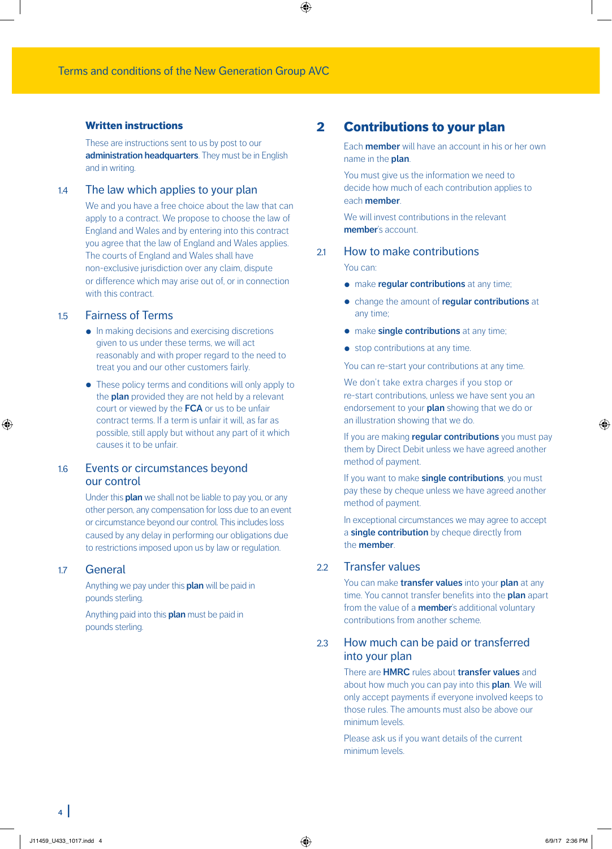### Written instructions

These are instructions sent to us by post to our **administration headquarters**. They must be in English and in writing.

### 1.4 The law which applies to your plan

We and you have a free choice about the law that can apply to a contract. We propose to choose the law of England and Wales and by entering into this contract you agree that the law of England and Wales applies. The courts of England and Wales shall have non‑exclusive jurisdiction over any claim, dispute or difference which may arise out of, or in connection with this contract.

# 1.5 Fairness of Terms

- In making decisions and exercising discretions given to us under these terms, we will act reasonably and with proper regard to the need to treat you and our other customers fairly.
- These policy terms and conditions will only apply to the **plan** provided they are not held by a relevant court or viewed by the **FCA** or us to be unfair contract terms. If a term is unfair it will, as far as possible, still apply but without any part of it which causes it to be unfair.

# 1.6 Events or circumstances beyond our control

Under this **plan** we shall not be liable to pay you, or any other person, any compensation for loss due to an event or circumstance beyond our control. This includes loss caused by any delay in performing our obligations due to restrictions imposed upon us by law or regulation.

#### 1.7 General

Anything we pay under this **plan** will be paid in pounds sterling.

Anything paid into this **plan** must be paid in pounds sterling.

# 2 Contributions to your plan

Each **member** will have an account in his or her own name in the **plan**.

You must give us the information we need to decide how much of each contribution applies to each **member**.

We will invest contributions in the relevant **member**'s account.

### 2.1 How to make contributions

#### You can:

- make **regular contributions** at any time;
- change the amount of **regular contributions** at any time;
- make **single contributions** at any time;
- stop contributions at any time.

You can re-start your contributions at any time.

We don't take extra charges if you stop or re-start contributions, unless we have sent you an endorsement to your **plan** showing that we do or an illustration showing that we do.

If you are making **regular contributions** you must pay them by Direct Debit unless we have agreed another method of payment.

If you want to make **single contributions**, you must pay these by cheque unless we have agreed another method of payment.

In exceptional circumstances we may agree to accept a **single contribution** by cheque directly from the **member**.

# 2.2 Transfer values

You can make **transfer values** into your **plan** at any time. You cannot transfer benefits into the **plan** apart from the value of a **member**'s additional voluntary contributions from another scheme.

# 2.3 How much can be paid or transferred into your plan

There are **HMRC** rules about **transfer values** and about how much you can pay into this **plan**. We will only accept payments if everyone involved keeps to those rules. The amounts must also be above our minimum levels.

Please ask us if you want details of the current minimum levels.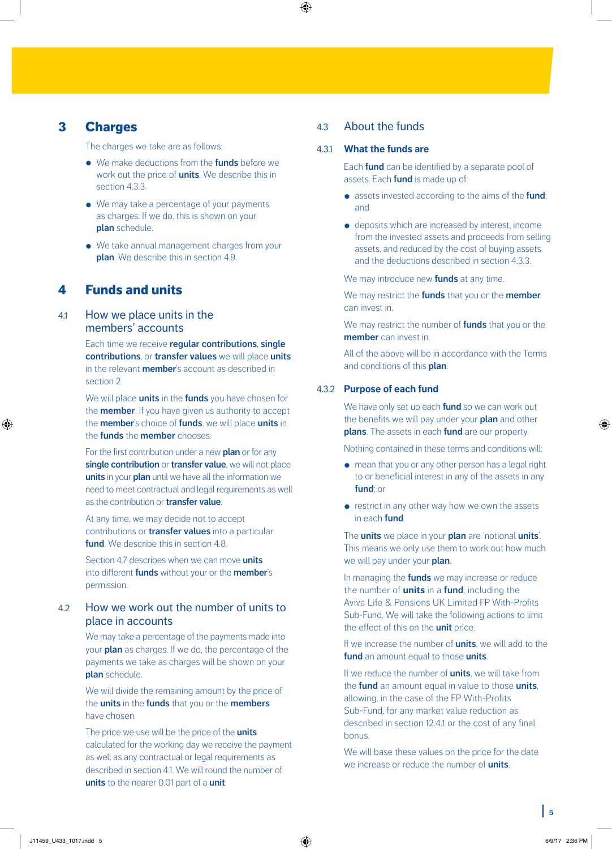# 3 Charges

The charges we take are as follows:

- We make deductions from the **funds** before we work out the price of **units**. We describe this in section 4.3.3.
- We may take a percentage of your payments as charges. If we do, this is shown on your **plan** schedule.
- We take annual management charges from your **plan**. We describe this in section 4.9.

# 4 Funds and units

# 4.1 How we place units in the members' accounts

Each time we receive **regular contributions**, **single contributions**, or **transfer values** we will place **units** in the relevant **member**'s account as described in section 2.

We will place **units** in the **funds** you have chosen for the **member**. If you have given us authority to accept the **member**'s choice of **funds**, we will place **units** in the **funds** the **member** chooses.

For the first contribution under a new **plan** or for any **single contribution** or **transfer value**, we will not place **units** in your **plan** until we have all the information we need to meet contractual and legal requirements as well as the contribution or **transfer value**.

At any time, we may decide not to accept contributions or **transfer values** into a particular **fund**. We describe this in section 4.8.

Section 4.7 describes when we can move **units** into different **funds** without your or the **member**'s permission.

# 42 How we work out the number of units to place in accounts

We may take a percentage of the payments made into your **plan** as charges. If we do, the percentage of the payments we take as charges will be shown on your **plan** schedule.

We will divide the remaining amount by the price of the **units** in the **funds** that you or the **members** have chosen.

The price we use will be the price of the **units** calculated for the working day we receive the payment as well as any contractual or legal requirements as described in section 4.1. We will round the number of **units** to the nearer 0.01 part of a **unit**.

# 4.3 About the funds

#### 4.3.1 **What the funds are**

Each **fund** can be identified by a separate pool of assets. Each **fund** is made up of:

- assets invested according to the aims of the **fund**; and
- deposits which are increased by interest, income from the invested assets and proceeds from selling assets, and reduced by the cost of buying assets and the deductions described in section 4.3.3.

We may introduce new **funds** at any time.

We may restrict the **funds** that you or the **member** can invest in.

We may restrict the number of **funds** that you or the **member** can invest in.

All of the above will be in accordance with the Terms and conditions of this **plan**.

#### 4.3.2 **Purpose of each fund**

We have only set up each **fund** so we can work out the benefits we will pay under your **plan** and other **plans**. The assets in each **fund** are our property.

Nothing contained in these terms and conditions will:

- mean that you or any other person has a legal right to or beneficial interest in any of the assets in any **fund**; or
- restrict in any other way how we own the assets in each **fund**.

The **units** we place in your **plan** are 'notional **units**'. This means we only use them to work out how much we will pay under your **plan**.

In managing the **funds** we may increase or reduce the number of **units** in a **fund**, including the Aviva Life & Pensions UK Limited FP With-Profits Sub-Fund. We will take the following actions to limit the effect of this on the **unit** price.

If we increase the number of **units**, we will add to the **fund** an amount equal to those **units**.

If we reduce the number of **units**, we will take from the **fund** an amount equal in value to those **units**, allowing, in the case of the FP With-Profits Sub-Fund, for any market value reduction as described in section 12.4.1 or the cost of any final bonus.

We will base these values on the price for the date we increase or reduce the number of **units**.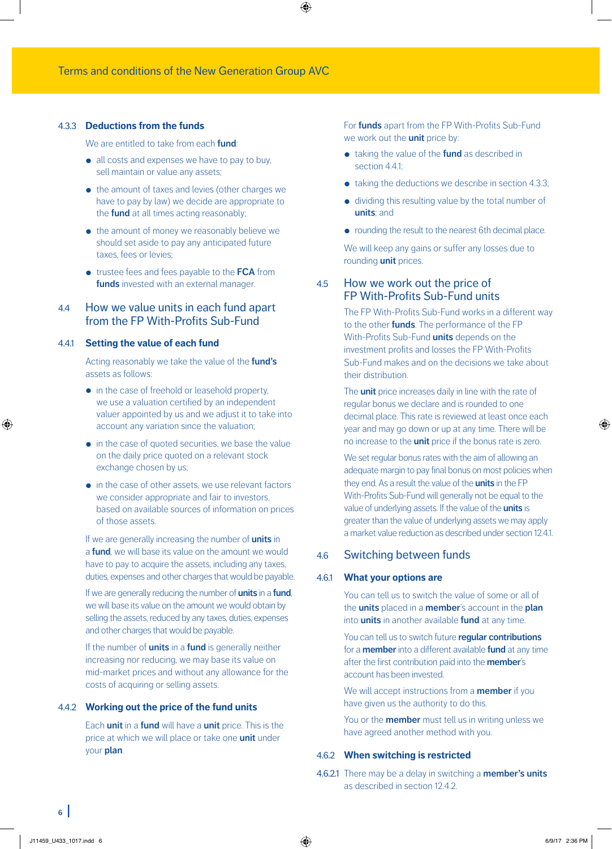#### 4.3.3 **Deductions from the funds**

We are entitled to take from each **fund**:

- all costs and expenses we have to pay to buy, sell maintain or value any assets;
- the amount of taxes and levies (other charges we have to pay by law) we decide are appropriate to the **fund** at all times acting reasonably;
- the amount of money we reasonably believe we should set aside to pay any anticipated future taxes, fees or levies;
- trustee fees and fees payable to the **FCA** from **funds** invested with an external manager.

# 4.4 How we value units in each fund apart from the FP With-Profits Sub-Fund

#### 4.4.1 **Setting the value of each fund**

Acting reasonably we take the value of the **fund's** assets as follows:

- in the case of freehold or leasehold property, we use a valuation certified by an independent valuer appointed by us and we adjust it to take into account any variation since the valuation;
- in the case of quoted securities, we base the value on the daily price quoted on a relevant stock exchange chosen by us;
- in the case of other assets, we use relevant factors we consider appropriate and fair to investors, based on available sources of information on prices of those assets.

If we are generally increasing the number of **units** in a **fund**, we will base its value on the amount we would have to pay to acquire the assets, including any taxes, duties, expenses and other charges that would be payable.

If we are generally reducing the number of **units** in a **fund**, we will base its value on the amount we would obtain by selling the assets, reduced by any taxes, duties, expenses and other charges that would be payable.

If the number of **units** in a **fund** is generally neither increasing nor reducing, we may base its value on mid-market prices and without any allowance for the costs of acquiring or selling assets.

#### 4.4.2 **Working out the price of the fund units**

Each **unit** in a **fund** will have a **unit** price. This is the price at which we will place or take one **unit** under your **plan**.

For **funds** apart from the FP With-Profits Sub-Fund we work out the **unit** price by:

- taking the value of the **fund** as described in section 4.4.1;
- taking the deductions we describe in section 4.3.3;
- dividing this resulting value by the total number of **units**; and
- rounding the result to the nearest 6th decimal place.

We will keep any gains or suffer any losses due to rounding **unit** prices.

### 4.5 How we work out the price of FP With-Profits Sub-Fund units

The FP With-Profits Sub-Fund works in a different way to the other **funds**. The performance of the FP With-Profits Sub-Fund **units** depends on the investment profits and losses the FP With-Profits Sub-Fund makes and on the decisions we take about their distribution.

The **unit** price increases daily in line with the rate of regular bonus we declare and is rounded to one decimal place. This rate is reviewed at least once each year and may go down or up at any time. There will be no increase to the **unit** price if the bonus rate is zero.

We set regular bonus rates with the aim of allowing an adequate margin to pay final bonus on most policies when they end. As a result the value of the **units** in the FP With-Profits Sub-Fund will generally not be equal to the value of underlying assets. If the value of the **units** is greater than the value of underlying assets we may apply a market value reduction as described under section 12.4.1.

### 4.6 Switching between funds

#### 4.6.1 **What your options are**

You can tell us to switch the value of some or all of the **units** placed in a **member**'s account in the **plan** into **units** in another available **fund** at any time.

You can tell us to switch future **regular contributions** for a **member** into a different available **fund** at any time after the first contribution paid into the **member**'s account has been invested.

We will accept instructions from a **member** if you have given us the authority to do this.

You or the **member** must tell us in writing unless we have agreed another method with you.

#### 4.6.2 **When switching is restricted**

4.6.2.1 There may be a delay in switching a **member's units** as described in section 12.4.2.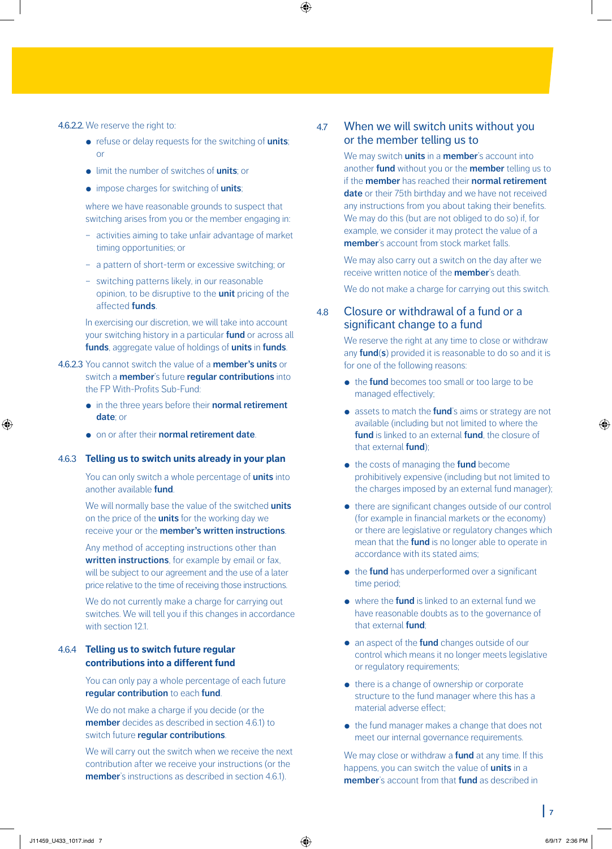#### 4.6.2.2. We reserve the right to:

- refuse or delay requests for the switching of **units**; or
- limit the number of switches of **units**; or
- impose charges for switching of **units**;

where we have reasonable grounds to suspect that switching arises from you or the member engaging in:

- activities aiming to take unfair advantage of market timing opportunities; or
- a pattern of short-term or excessive switching; or
- switching patterns likely, in our reasonable opinion, to be disruptive to the **unit** pricing of the affected **funds**.

In exercising our discretion, we will take into account your switching history in a particular **fund** or across all **funds**, aggregate value of holdings of **units** in **funds**.

- 4.6.2.3 You cannot switch the value of a **member's units** or switch a **member**'s future **regular contributions** into the FP With-Profits Sub-Fund:
	- in the three years before their **normal retirement date**; or
	- on or after their **normal retirement date**.

#### 4.6.3 **Telling us to switch units already in your plan**

You can only switch a whole percentage of **units** into another available **fund**.

We will normally base the value of the switched **units** on the price of the **units** for the working day we receive your or the **member's written instructions**.

Any method of accepting instructions other than **written instructions**, for example by email or fax, will be subject to our agreement and the use of a later price relative to the time of receiving those instructions.

We do not currently make a charge for carrying out switches. We will tell you if this changes in accordance with section 12.1.

### 4.6.4 **Telling us to switch future regular contributions into a different fund**

You can only pay a whole percentage of each future **regular contribution** to each **fund**.

We do not make a charge if you decide (or the **member** decides as described in section 4.6.1) to switch future **regular contributions**.

We will carry out the switch when we receive the next contribution after we receive your instructions (or the **member**'s instructions as described in section 4.6.1).

# 4.7 When we will switch units without you or the member telling us to

We may switch **units** in a **member**'s account into another **fund** without you or the **member** telling us to if the **member** has reached their **normal retirement date** or their 75th birthday and we have not received any instructions from you about taking their benefits. We may do this (but are not obliged to do so) if, for example, we consider it may protect the value of a **member**'s account from stock market falls.

We may also carry out a switch on the day after we receive written notice of the **member**'s death.

We do not make a charge for carrying out this switch.

# 4.8 Closure or withdrawal of a fund or a significant change to a fund

We reserve the right at any time to close or withdraw any **fund**(**s**) provided it is reasonable to do so and it is for one of the following reasons:

- the **fund** becomes too small or too large to be managed effectively;
- assets to match the **fund**'s aims or strategy are not available (including but not limited to where the **fund** is linked to an external **fund**, the closure of that external **fund**);
- the costs of managing the **fund** become prohibitively expensive (including but not limited to the charges imposed by an external fund manager);
- there are significant changes outside of our control (for example in financial markets or the economy) or there are legislative or regulatory changes which mean that the **fund** is no longer able to operate in accordance with its stated aims;
- **•** the **fund** has underperformed over a significant time period;
- where the **fund** is linked to an external fund we have reasonable doubts as to the governance of that external **fund**;
- an aspect of the **fund** changes outside of our control which means it no longer meets legislative or regulatory requirements;
- there is a change of ownership or corporate structure to the fund manager where this has a material adverse effect;
- the fund manager makes a change that does not meet our internal governance requirements.

We may close or withdraw a **fund** at any time. If this happens, you can switch the value of **units** in a **member**'s account from that **fund** as described in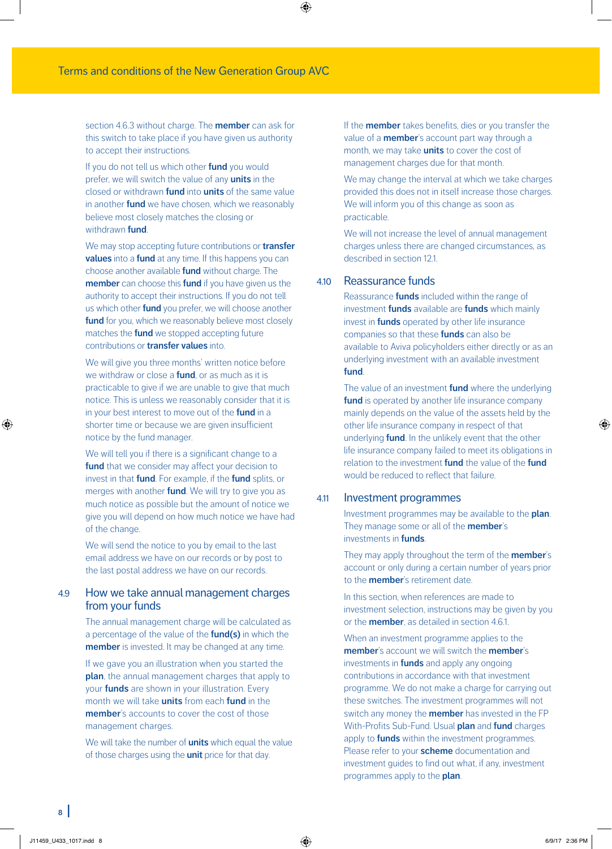section 4.6.3 without charge. The **member** can ask for this switch to take place if you have given us authority to accept their instructions.

If you do not tell us which other **fund** you would prefer, we will switch the value of any **units** in the closed or withdrawn **fund** into **units** of the same value in another **fund** we have chosen, which we reasonably believe most closely matches the closing or withdrawn **fund**.

We may stop accepting future contributions or **transfer values** into a **fund** at any time. If this happens you can choose another available **fund** without charge. The **member** can choose this **fund** if you have given us the authority to accept their instructions. If you do not tell us which other **fund** you prefer, we will choose another **fund** for you, which we reasonably believe most closely matches the **fund** we stopped accepting future contributions or **transfer values** into.

We will give you three months' written notice before we withdraw or close a **fund**, or as much as it is practicable to give if we are unable to give that much notice. This is unless we reasonably consider that it is in your best interest to move out of the **fund** in a shorter time or because we are given insufficient notice by the fund manager.

We will tell you if there is a significant change to a fund that we consider may affect your decision to invest in that **fund**. For example, if the **fund** splits, or merges with another **fund**. We will try to give you as much notice as possible but the amount of notice we give you will depend on how much notice we have had of the change.

We will send the notice to you by email to the last email address we have on our records or by post to the last postal address we have on our records.

# 4.9 How we take annual management charges from your funds

The annual management charge will be calculated as a percentage of the value of the **fund(s)** in which the **member** is invested. It may be changed at any time.

If we gave you an illustration when you started the **plan**, the annual management charges that apply to your **funds** are shown in your illustration. Every month we will take **units** from each **fund** in the **member**'s accounts to cover the cost of those management charges.

We will take the number of **units** which equal the value of those charges using the **unit** price for that day.

If the **member** takes benefits, dies or you transfer the value of a **member**'s account part way through a month, we may take **units** to cover the cost of management charges due for that month.

We may change the interval at which we take charges provided this does not in itself increase those charges. We will inform you of this change as soon as practicable.

We will not increase the level of annual management charges unless there are changed circumstances, as described in section 121.

# 4.10 Reassurance funds

Reassurance **funds** included within the range of investment **funds** available are **funds** which mainly invest in **funds** operated by other life insurance companies so that these **funds** can also be available to Aviva policyholders either directly or as an underlying investment with an available investment **fund**.

The value of an investment **fund** where the underlying **fund** is operated by another life insurance company mainly depends on the value of the assets held by the other life insurance company in respect of that underlying **fund**. In the unlikely event that the other life insurance company failed to meet its obligations in relation to the investment **fund** the value of the **fund** would be reduced to reflect that failure.

# 4.11 Investment programmes

Investment programmes may be available to the **plan**. They manage some or all of the **member**'s investments in **funds**.

They may apply throughout the term of the **member**'s account or only during a certain number of years prior to the **member**'s retirement date.

In this section, when references are made to investment selection, instructions may be given by you or the **member**, as detailed in section 4.6.1.

When an investment programme applies to the **member**'s account we will switch the **member**'s investments in **funds** and apply any ongoing contributions in accordance with that investment programme. We do not make a charge for carrying out these switches. The investment programmes will not switch any money the **member** has invested in the FP With-Profits Sub-Fund. Usual **plan** and **fund** charges apply to **funds** within the investment programmes. Please refer to your **scheme** documentation and investment guides to find out what, if any, investment programmes apply to the **plan**.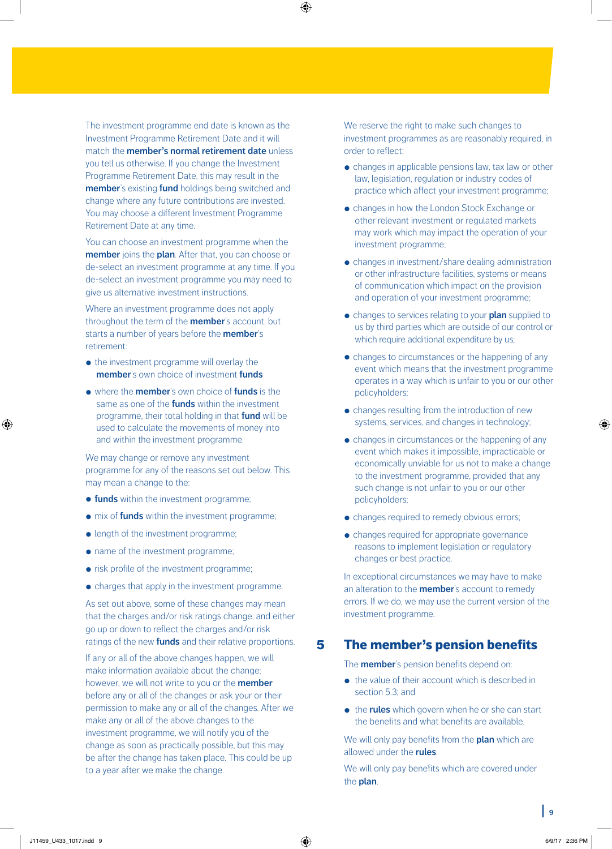The investment programme end date is known as the Investment Programme Retirement Date and it will match the **member's normal retirement date** unless you tell us otherwise. If you change the Investment Programme Retirement Date, this may result in the **member**'s existing **fund** holdings being switched and change where any future contributions are invested. You may choose a different Investment Programme Retirement Date at any time.

You can choose an investment programme when the **member** joins the **plan**. After that, you can choose or de-select an investment programme at any time. If you de-select an investment programme you may need to give us alternative investment instructions.

Where an investment programme does not apply throughout the term of the **member**'s account, but starts a number of years before the **member**'s retirement:

- the investment programme will overlay the **member**'s own choice of investment **funds**
- where the **member**'s own choice of **funds** is the same as one of the **funds** within the investment programme, their total holding in that **fund** will be used to calculate the movements of money into and within the investment programme.

We may change or remove any investment programme for any of the reasons set out below. This may mean a change to the:

- **funds** within the investment programme;
- mix of **funds** within the investment programme;
- length of the investment programme;
- name of the investment programme;
- risk profile of the investment programme;
- charges that apply in the investment programme.

As set out above, some of these changes may mean that the charges and/or risk ratings change, and either go up or down to reflect the charges and/or risk ratings of the new **funds** and their relative proportions.

If any or all of the above changes happen, we will make information available about the change; however, we will not write to you or the **member** before any or all of the changes or ask your or their permission to make any or all of the changes. After we make any or all of the above changes to the investment programme, we will notify you of the change as soon as practically possible, but this may be after the change has taken place. This could be up to a year after we make the change.

We reserve the right to make such changes to investment programmes as are reasonably required, in order to reflect:

- changes in applicable pensions law, tax law or other law, legislation, regulation or industry codes of practice which affect your investment programme;
- changes in how the London Stock Exchange or other relevant investment or regulated markets may work which may impact the operation of your investment programme;
- changes in investment/share dealing administration or other infrastructure facilities, systems or means of communication which impact on the provision and operation of your investment programme;
- changes to services relating to your **plan** supplied to us by third parties which are outside of our control or which require additional expenditure by us;
- changes to circumstances or the happening of any event which means that the investment programme operates in a way which is unfair to you or our other policyholders;
- changes resulting from the introduction of new systems, services, and changes in technology;
- changes in circumstances or the happening of any event which makes it impossible, impracticable or economically unviable for us not to make a change to the investment programme, provided that any such change is not unfair to you or our other policyholders;
- changes required to remedy obvious errors;
- changes required for appropriate governance reasons to implement legislation or regulatory changes or best practice.

In exceptional circumstances we may have to make an alteration to the **member**'s account to remedy errors. If we do, we may use the current version of the investment programme.

# 5 The member's pension benefits

The **member**'s pension benefits depend on:

- the value of their account which is described in section 5.3; and
- the **rules** which govern when he or she can start the benefits and what benefits are available.

We will only pay benefits from the **plan** which are allowed under the **rules**.

We will only pay benefits which are covered under the **plan**.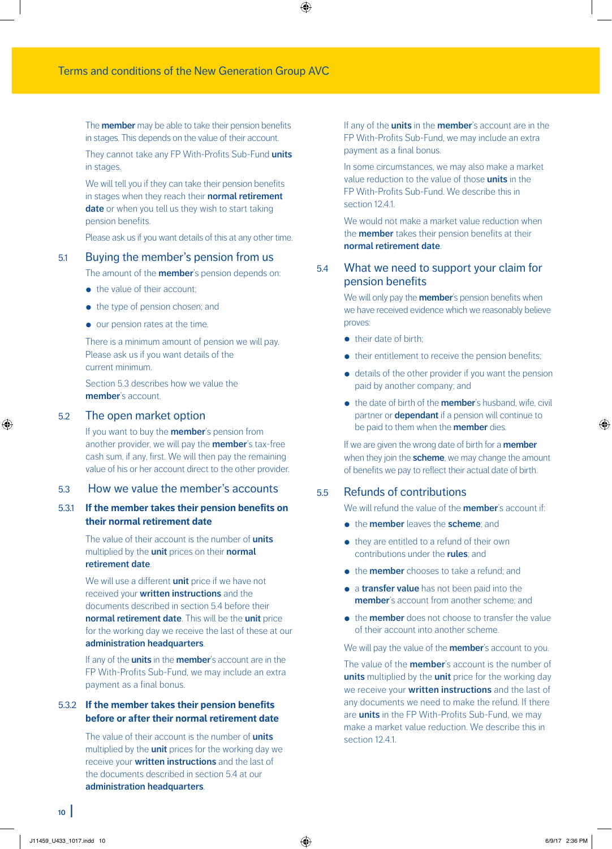The **member** may be able to take their pension benefits in stages. This depends on the value of their account.

They cannot take any FP With-Profits Sub-Fund **units** in stages.

We will tell you if they can take their pension benefits in stages when they reach their **normal retirement date** or when you tell us they wish to start taking pension benefits.

Please ask us if you want details of this at any other time.

#### 5.1 Buying the member's pension from us

The amount of the **member**'s pension depends on:

- the value of their account;
- the type of pension chosen; and
- our pension rates at the time.

There is a minimum amount of pension we will pay. Please ask us if you want details of the current minimum.

Section 5.3 describes how we value the **member**'s account.

### 5.2 The open market option

If you want to buy the **member**'s pension from another provider, we will pay the **member**'s tax-free cash sum, if any, first. We will then pay the remaining value of his or her account direct to the other provider.

# 5.3 How we value the member's accounts

# 5.3.1 **If the member takes their pension benefits on their normal retirement date**

The value of their account is the number of **units** multiplied by the **unit** prices on their **normal retirement date**.

We will use a different **unit** price if we have not received your **written instructions** and the documents described in section 5.4 before their **normal retirement date**. This will be the **unit** price for the working day we receive the last of these at our **administration headquarters**.

If any of the **units** in the **member**'s account are in the FP With-Profits Sub-Fund, we may include an extra payment as a final bonus.

# 5.3.2 **If the member takes their pension benefits before or after their normal retirement date**

The value of their account is the number of **units** multiplied by the **unit** prices for the working day we receive your **written instructions** and the last of the documents described in section 5.4 at our **administration headquarters**.

If any of the **units** in the **member**'s account are in the FP With-Profits Sub-Fund, we may include an extra payment as a final bonus.

In some circumstances, we may also make a market value reduction to the value of those **units** in the FP With-Profits Sub-Fund. We describe this in section 12.41

We would not make a market value reduction when the **member** takes their pension benefits at their **normal retirement date**.

# 5.4 What we need to support your claim for pension benefits

We will only pay the **member**'s pension benefits when we have received evidence which we reasonably believe proves:

- their date of birth:
- their entitlement to receive the pension benefits;
- details of the other provider if you want the pension paid by another company; and
- the date of birth of the **member**'s husband, wife, civil partner or **dependant** if a pension will continue to be paid to them when the **member** dies.

If we are given the wrong date of birth for a **member** when they join the **scheme**, we may change the amount of benefits we pay to reflect their actual date of birth.

### 5.5 Refunds of contributions

We will refund the value of the **member**'s account if:

- the **member** leaves the **scheme**; and
- they are entitled to a refund of their own contributions under the **rules**; and
- the **member** chooses to take a refund; and
- a **transfer value** has not been paid into the **member**'s account from another scheme; and
- the **member** does not choose to transfer the value of their account into another scheme.

We will pay the value of the **member**'s account to you.

The value of the **member**'s account is the number of **units** multiplied by the **unit** price for the working day we receive your **written instructions** and the last of any documents we need to make the refund. If there are **units** in the FP With-Profits Sub-Fund, we may make a market value reduction. We describe this in section 12.4.1.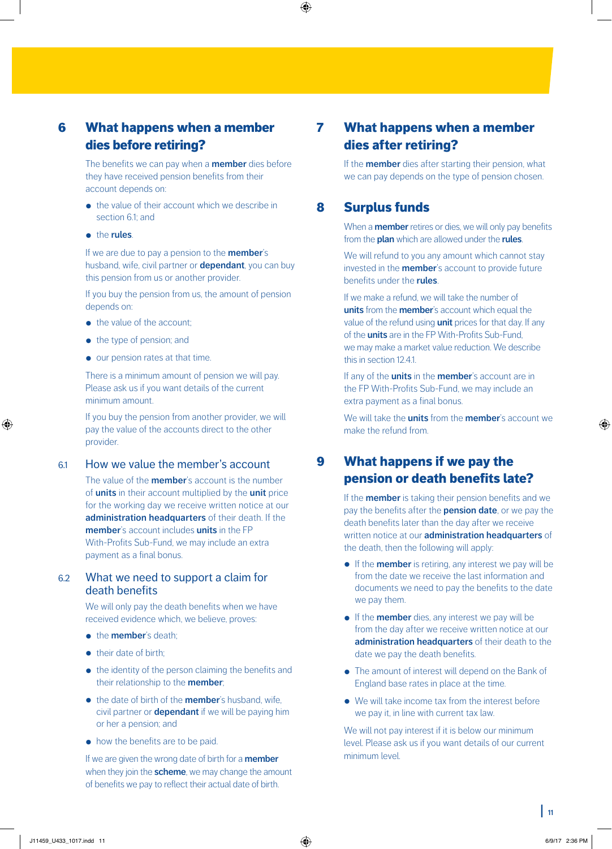# 6 What happens when a member dies before retiring?

The benefits we can pay when a **member** dies before they have received pension benefits from their account depends on:

- the value of their account which we describe in section 61; and
- the **rules**.

If we are due to pay a pension to the **member**'s husband, wife, civil partner or **dependant**, you can buy this pension from us or another provider.

If you buy the pension from us, the amount of pension depends on:

- the value of the account:
- the type of pension; and
- our pension rates at that time.

There is a minimum amount of pension we will pay. Please ask us if you want details of the current minimum amount.

If you buy the pension from another provider, we will pay the value of the accounts direct to the other provider.

# 6.1 How we value the member's account

The value of the **member**'s account is the number of **units** in their account multiplied by the **unit** price for the working day we receive written notice at our **administration headquarters** of their death. If the **member**'s account includes **units** in the FP With-Profits Sub-Fund, we may include an extra payment as a final bonus.

# 6.2 What we need to support a claim for death benefits

We will only pay the death benefits when we have received evidence which, we believe, proves:

- **•** the **member**'s death:
- their date of birth:
- the identity of the person claiming the benefits and their relationship to the **member**;
- the date of birth of the **member**'s husband, wife, civil partner or **dependant** if we will be paying him or her a pension; and
- how the benefits are to be paid.

If we are given the wrong date of birth for a **member** when they join the **scheme**, we may change the amount of benefits we pay to reflect their actual date of birth.

# 7 What happens when a member dies after retiring?

If the **member** dies after starting their pension, what we can pay depends on the type of pension chosen.

# 8 Surplus funds

When a **member** retires or dies, we will only pay benefits from the **plan** which are allowed under the **rules**.

We will refund to you any amount which cannot stay invested in the **member**'s account to provide future benefits under the **rules**.

If we make a refund, we will take the number of **units** from the **member**'s account which equal the value of the refund using **unit** prices for that day. If any of the **units** are in the FP With-Profits Sub-Fund, we may make a market value reduction. We describe this in section 12.4.1.

If any of the **units** in the **member**'s account are in the FP With-Profits Sub-Fund, we may include an extra payment as a final bonus.

We will take the **units** from the **member**'s account we make the refund from.

# 9 What happens if we pay the pension or death benefits late?

If the **member** is taking their pension benefits and we pay the benefits after the **pension date**, or we pay the death benefits later than the day after we receive written notice at our **administration headquarters** of the death, then the following will apply:

- If the **member** is retiring, any interest we pay will be from the date we receive the last information and documents we need to pay the benefits to the date we pay them.
- If the **member** dies, any interest we pay will be from the day after we receive written notice at our **administration headquarters** of their death to the date we pay the death benefits.
- The amount of interest will depend on the Bank of England base rates in place at the time.
- We will take income tax from the interest before we pay it, in line with current tax law.

We will not pay interest if it is below our minimum level. Please ask us if you want details of our current minimum level.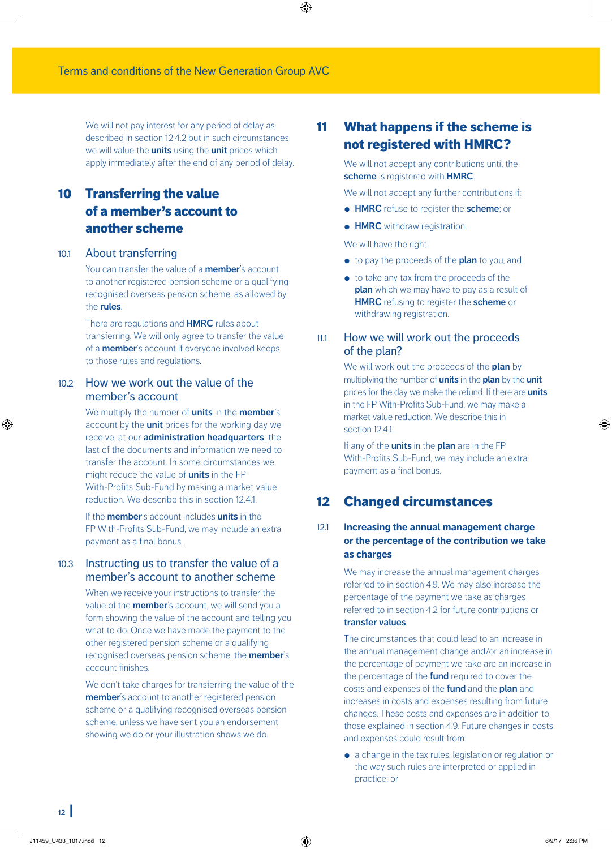We will not pay interest for any period of delay as described in section 12.4.2 but in such circumstances we will value the **units** using the **unit** prices which apply immediately after the end of any period of delay.

# 10 Transferring the value of a member's account to another scheme

#### 10.1 About transferring

You can transfer the value of a **member**'s account to another registered pension scheme or a qualifying recognised overseas pension scheme, as allowed by the **rules**.

There are regulations and **HMRC** rules about transferring. We will only agree to transfer the value of a **member**'s account if everyone involved keeps to those rules and regulations.

# 10.2 How we work out the value of the member's account

We multiply the number of **units** in the **member**'s account by the **unit** prices for the working day we receive, at our **administration headquarters**, the last of the documents and information we need to transfer the account. In some circumstances we might reduce the value of **units** in the FP With-Profits Sub-Fund by making a market value reduction. We describe this in section 12.4.1.

If the **member**'s account includes **units** in the FP With-Profits Sub-Fund, we may include an extra payment as a final bonus.

# 10.3 Instructing us to transfer the value of a member's account to another scheme

When we receive your instructions to transfer the value of the **member**'s account, we will send you a form showing the value of the account and telling you what to do. Once we have made the payment to the other registered pension scheme or a qualifying recognised overseas pension scheme, the **member**'s account finishes.

We don't take charges for transferring the value of the **member**'s account to another registered pension scheme or a qualifying recognised overseas pension scheme, unless we have sent you an endorsement showing we do or your illustration shows we do.

# 11 What happens if the scheme is not registered with HMRC?

We will not accept any contributions until the **scheme** is registered with **HMRC**.

We will not accept any further contributions if:

- **HMRC** refuse to register the **scheme**; or
- **HMRC** withdraw registration.

We will have the right:

- to pay the proceeds of the **plan** to you; and
- to take any tax from the proceeds of the **plan** which we may have to pay as a result of **HMRC** refusing to register the **scheme** or withdrawing registration.

# 11.1 How we will work out the proceeds of the plan?

We will work out the proceeds of the **plan** by multiplying the number of **units** in the **plan** by the **unit** prices for the day we make the refund. If there are **units** in the FP With-Profits Sub-Fund, we may make a market value reduction. We describe this in section 12.4.1.

If any of the **units** in the **plan** are in the FP With-Profits Sub-Fund, we may include an extra payment as a final bonus.

# 12 Changed circumstances

# 12.1 **Increasing the annual management charge or the percentage of the contribution we take as charges**

We may increase the annual management charges referred to in section 4.9. We may also increase the percentage of the payment we take as charges referred to in section 4.2 for future contributions or **transfer values**.

The circumstances that could lead to an increase in the annual management change and/or an increase in the percentage of payment we take are an increase in the percentage of the **fund** required to cover the costs and expenses of the **fund** and the **plan** and increases in costs and expenses resulting from future changes. These costs and expenses are in addition to those explained in section 4.9. Future changes in costs and expenses could result from:

• a change in the tax rules, legislation or regulation or the way such rules are interpreted or applied in practice; or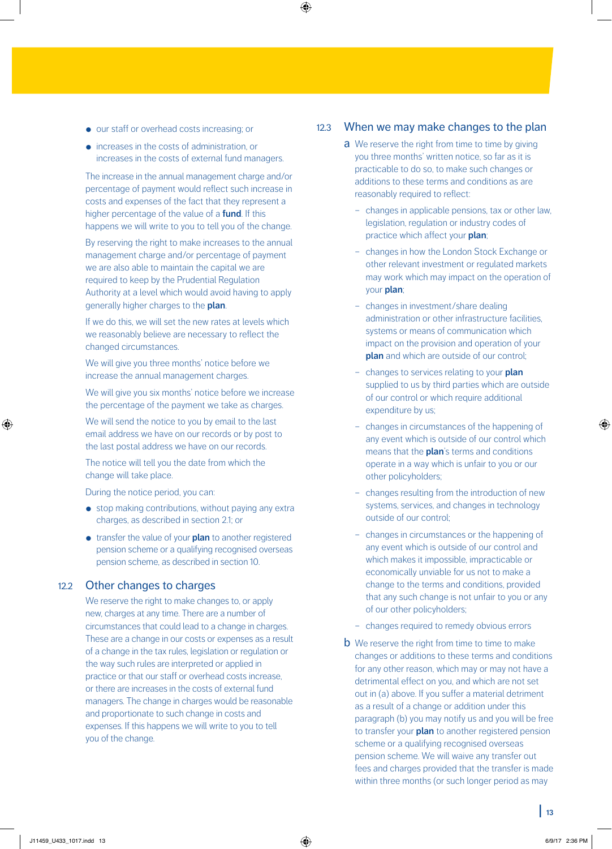- our staff or overhead costs increasing; or
- increases in the costs of administration, or increases in the costs of external fund managers.

The increase in the annual management charge and/or percentage of payment would reflect such increase in costs and expenses of the fact that they represent a higher percentage of the value of a **fund**. If this happens we will write to you to tell you of the change.

By reserving the right to make increases to the annual management charge and/or percentage of payment we are also able to maintain the capital we are required to keep by the Prudential Regulation Authority at a level which would avoid having to apply generally higher charges to the **plan**.

If we do this, we will set the new rates at levels which we reasonably believe are necessary to reflect the changed circumstances.

We will give you three months' notice before we increase the annual management charges.

We will give you six months' notice before we increase the percentage of the payment we take as charges.

We will send the notice to you by email to the last email address we have on our records or by post to the last postal address we have on our records.

The notice will tell you the date from which the change will take place.

During the notice period, you can:

- stop making contributions, without paying any extra charges, as described in section 2.1; or
- transfer the value of your **plan** to another registered pension scheme or a qualifying recognised overseas pension scheme, as described in section 10.

# 12.2 Other changes to charges

We reserve the right to make changes to, or apply new, charges at any time. There are a number of circumstances that could lead to a change in charges. These are a change in our costs or expenses as a result of a change in the tax rules, legislation or regulation or the way such rules are interpreted or applied in practice or that our staff or overhead costs increase, or there are increases in the costs of external fund managers. The change in charges would be reasonable and proportionate to such change in costs and expenses. If this happens we will write to you to tell you of the change.

# 12.3 When we may make changes to the plan

- **a** We reserve the right from time to time by giving you three months' written notice, so far as it is practicable to do so, to make such changes or additions to these terms and conditions as are reasonably required to reflect:
	- changes in applicable pensions, tax or other law, legislation, regulation or industry codes of practice which affect your **plan**;
	- changes in how the London Stock Exchange or other relevant investment or regulated markets may work which may impact on the operation of your **plan**;
	- changes in investment/share dealing administration or other infrastructure facilities, systems or means of communication which impact on the provision and operation of your **plan** and which are outside of our control;
	- changes to services relating to your **plan** supplied to us by third parties which are outside of our control or which require additional expenditure by us;
	- changes in circumstances of the happening of any event which is outside of our control which means that the **plan**'s terms and conditions operate in a way which is unfair to you or our other policyholders;
	- changes resulting from the introduction of new systems, services, and changes in technology outside of our control;
	- changes in circumstances or the happening of any event which is outside of our control and which makes it impossible, impracticable or economically unviable for us not to make a change to the terms and conditions, provided that any such change is not unfair to you or any of our other policyholders;
	- changes required to remedy obvious errors
- **b** We reserve the right from time to time to make changes or additions to these terms and conditions for any other reason, which may or may not have a detrimental effect on you, and which are not set out in (a) above. If you suffer a material detriment as a result of a change or addition under this paragraph (b) you may notify us and you will be free to transfer your **plan** to another registered pension scheme or a qualifying recognised overseas pension scheme. We will waive any transfer out fees and charges provided that the transfer is made within three months (or such longer period as may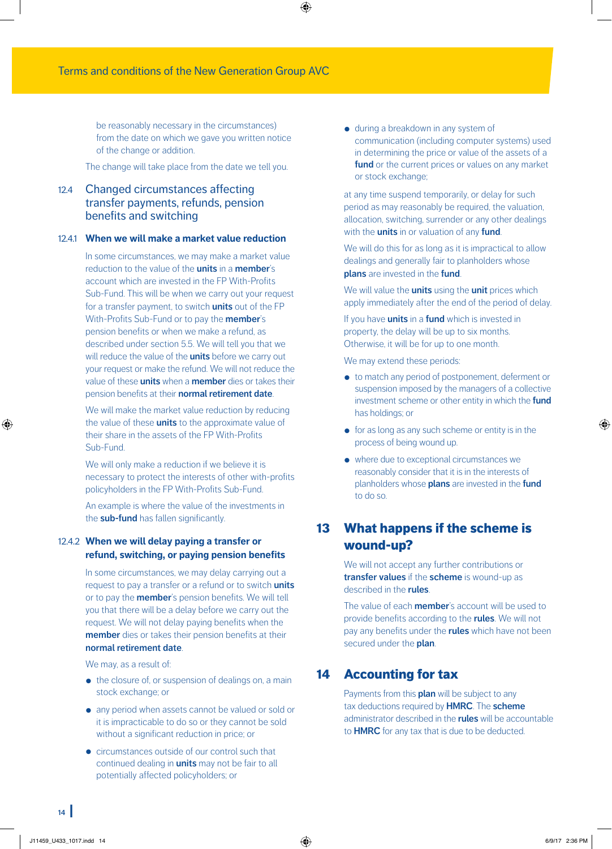be reasonably necessary in the circumstances) from the date on which we gave you written notice of the change or addition.

The change will take place from the date we tell you.

# 12.4 Changed circumstances affecting transfer payments, refunds, pension benefits and switching

### 12.4.1 **When we will make a market value reduction**

In some circumstances, we may make a market value reduction to the value of the **units** in a **member**'s account which are invested in the FP With-Profits Sub-Fund. This will be when we carry out your request for a transfer payment, to switch **units** out of the FP With-Profits Sub-Fund or to pay the **member**'s pension benefits or when we make a refund, as described under section 5.5. We will tell you that we will reduce the value of the **units** before we carry out your request or make the refund. We will not reduce the value of these **units** when a **member** dies or takes their pension benefits at their **normal retirement date**.

We will make the market value reduction by reducing the value of these **units** to the approximate value of their share in the assets of the FP With-Profits Sub-Fund.

We will only make a reduction if we believe it is necessary to protect the interests of other with-profits policyholders in the FP With-Profits Sub-Fund.

An example is where the value of the investments in the **sub-fund** has fallen significantly.

# 12.4.2 **When we will delay paying a transfer or refund, switching, or paying pension benefits**

In some circumstances, we may delay carrying out a request to pay a transfer or a refund or to switch **units** or to pay the **member**'s pension benefits. We will tell you that there will be a delay before we carry out the request. We will not delay paying benefits when the **member** dies or takes their pension benefits at their **normal retirement date**.

We may, as a result of:

- the closure of, or suspension of dealings on, a main stock exchange; or
- any period when assets cannot be valued or sold or it is impracticable to do so or they cannot be sold without a significant reduction in price; or
- circumstances outside of our control such that continued dealing in **units** may not be fair to all potentially affected policyholders; or

• during a breakdown in any system of communication (including computer systems) used in determining the price or value of the assets of a **fund** or the current prices or values on any market or stock exchange;

at any time suspend temporarily, or delay for such period as may reasonably be required, the valuation, allocation, switching, surrender or any other dealings with the **units** in or valuation of any **fund**.

We will do this for as long as it is impractical to allow dealings and generally fair to planholders whose **plans** are invested in the **fund**.

We will value the **units** using the **unit** prices which apply immediately after the end of the period of delay.

If you have **units** in a **fund** which is invested in property, the delay will be up to six months. Otherwise, it will be for up to one month.

We may extend these periods:

- to match any period of postponement, deferment or suspension imposed by the managers of a collective investment scheme or other entity in which the **fund** has holdings; or
- for as long as any such scheme or entity is in the process of being wound up.
- where due to exceptional circumstances we reasonably consider that it is in the interests of planholders whose **plans** are invested in the **fund** to do so.

# 13 What happens if the scheme is wound-up?

We will not accept any further contributions or **transfer values** if the **scheme** is wound-up as described in the **rules**.

The value of each **member**'s account will be used to provide benefits according to the **rules**. We will not pay any benefits under the **rules** which have not been secured under the **plan**.

# 14 Accounting for tax

Payments from this **plan** will be subject to any tax deductions required by **HMRC**. The **scheme** administrator described in the **rules** will be accountable to **HMRC** for any tax that is due to be deducted.